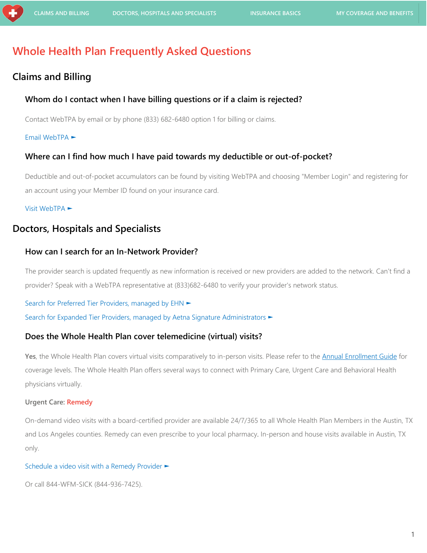# **Whole Health Plan Frequently Asked Questions**

## <span id="page-0-0"></span>**Claims and Billing**

#### **Whom do I contact when I have billing questions or if a claim is rejected?**

Contact WebTPA by email or by phone (833) 682-6480 option 1 for billing or claims.

#### [Email WebTPA ►](mailto:WholeHealthPlanAssist@webtpa.com?subject=Whole%20Health%20Plan:%20Billing%20or%20Claims%20Question)

#### **Where can I find how much I have paid towards my deductible or out-of-pocket?**

Deductible and out-of-pocket accumulators can be found by visiting WebTPA and choosing "Member Login" and registering for an account using your Member ID found on your insurance card.

#### [Visit WebTPA](https://www.webtpa.com/) ►

## <span id="page-0-1"></span>**Doctors, Hospitals and Specialists**

#### **How can I search for an In-Network Provider?**

The provider search is updated frequently as new information is received or new providers are added to the network. Can't find a provider? Speak with a WebTPA representative at (833)682-6480 to verify your provider's network status.

#### [Search for Preferred Tier Providers, managed by EHN](https://members.ehnconnects.com/?lat=30.2673717&lng=-97.74309219999999&distance=20&page=1&searchType=Provider&size=10) ►

[Search for Expanded Tier Providers, managed by Aetna Signature Administrators](https://www.aetna.com/dsepublic/#/contentPage?page=providerSearchLanding&site_id=asa&language=en) ►

#### **Does the Whole Health Plan cover telemedicine (virtual) visits?**

Yes, the Whole Health Plan covers virtual visits comparatively to in-person visits. Please refer to the **Annual Enrollment Guide** for coverage levels. The Whole Health Plan offers several ways to connect with Primary Care, Urgent Care and Behavioral Health physicians virtually.

#### **Urgent Care: Remedy**

On-demand video visits with a board-certified provider are available 24/7/365 to all Whole Health Plan Members in the Austin, TX and Los Angeles counties. Remedy can even prescribe to your local pharmacy. In-person and house visits available in Austin, TX only.

#### Schedule a video visit [with a Remedy Provider](https://wfm.myremedy.com/) ►

Or call 844-WFM-SICK (844-936-7425).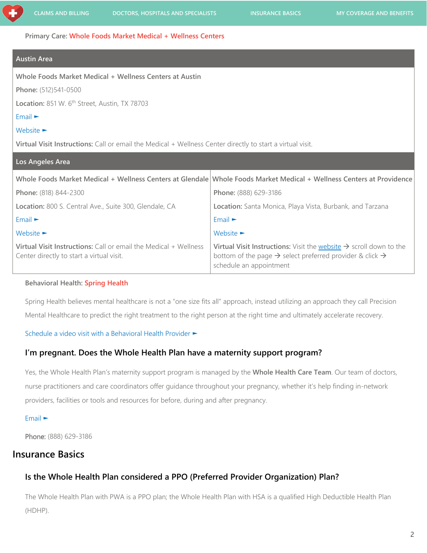**Primary Care: Whole Foods Market Medical + Wellness Centers**

#### **Austin Area**

**Whole Foods Market Medical + Wellness Centers at Austin**

**Phone:** (512)541-0500

Location: 851 W. 6<sup>th</sup> Street, Austin, TX 78703

#### [Email ►](mailto:SW.AMW.INFO@wholefoods.com?subject=Request%20to%20Schedule%20Video%20Visit)

#### [Website ►](http://wfmmedical.com/)

**Virtual Visit Instructions:** Call or email the Medical + Wellness Center directly to start a virtual visit.

| Los Angeles Area                                                                                              |                                                                                                                                                                                               |
|---------------------------------------------------------------------------------------------------------------|-----------------------------------------------------------------------------------------------------------------------------------------------------------------------------------------------|
|                                                                                                               | Whole Foods Market Medical + Wellness Centers at Glendale Whole Foods Market Medical + Wellness Centers at Providence                                                                         |
| Phone: (818) 844-2300                                                                                         | Phone: (888) 629-3186                                                                                                                                                                         |
| <b>Location:</b> 800 S. Central Ave., Suite 300, Glendale, CA                                                 | Location: Santa Monica, Playa Vista, Burbank, and Tarzana                                                                                                                                     |
| Email                                                                                                         | $Email \rightarrow$                                                                                                                                                                           |
| Website $\blacktriangleright$                                                                                 | Website $\blacktriangleright$                                                                                                                                                                 |
| Virtual Visit Instructions: Call or email the Medical + Wellness<br>Center directly to start a virtual visit. | Virtual Visit Instructions: Visit the website $\rightarrow$ scroll down to the<br>bottom of the page $\rightarrow$ select preferred provider & click $\rightarrow$<br>schedule an appointment |

#### **Behavioral Health: Spring Health**

Spring Health believes mental healthcare is not a "one size fits all" approach, instead utilizing an approach they call Precision Mental Healthcare to predict the right treatment to the right person at the right time and ultimately accelerate recovery.

#### [Schedule a video visit with a Behavioral Health Provider](https://springhealth.acemlnc.com/lt.php?notrack=1&s=bHRob21wc29uQHNwcmluZ2hlYWx0aC5jb20=&i=100A176A33A517) ►

#### <span id="page-1-0"></span>**I'm pregnant. Does the Whole Health Plan have a maternity support program?**

Yes, the Whole Health Plan's maternity support program is managed by the **Whole Health Care Team**. Our team of doctors, nurse practitioners and care coordinators offer guidance throughout your pregnancy, whether it's help finding in-network providers, facilities or tools and resources for before, during and after pregnancy.

#### [Email ►](mailto:whole.health.care.team@wholefoods.com)

Phone: (888) 629-3186

## <span id="page-1-1"></span>**Insurance Basics**

## **Is the Whole Health Plan considered a PPO (Preferred Provider Organization) Plan?**

The Whole Health Plan with PWA is a PPO plan; the Whole Health Plan with HSA is a qualified High Deductible Health Plan (HDHP).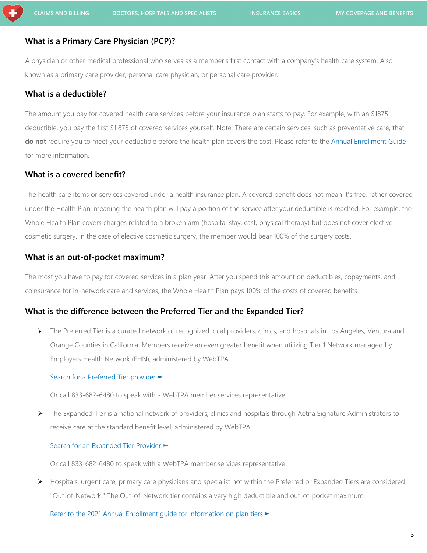## **What is a Primary Care Physician (PCP)?**

A physician or other medical professional who serves as a member's first contact with a company's health care system. Also known as a primary care provider, personal care physician, or personal care provider.

## **What is a deductible?**

The amount you pay for covered health care services before your insurance plan starts to pay. For example, with an \$1875 deductible, you pay the first \$1,875 of covered services yourself. Note: There are certain services, such as preventative care, that **do not** require you to meet your deductible before the health plan covers the cost. Please refer to the [Annual Enrollment Guide](http://wfm.employershealthnetwork.com/wp-content/uploads/2020/12/WFM_2021-AE-Whole-Health-Plan-Guide_101920_FINAL_rev.pdf) for more information.

## **What is a covered benefit?**

The health care items or services covered under a health insurance plan. A covered benefit does not mean it's free, rather covered under the Health Plan, meaning the health plan will pay a portion of the service after your deductible is reached. For example, the Whole Health Plan covers charges related to a broken arm (hospital stay, cast, physical therapy) but does not cover elective cosmetic surgery. In the case of elective cosmetic surgery, the member would bear 100% of the surgery costs.

### **What is an out-of-pocket maximum?**

The most you have to pay for covered services in a plan year. After you spend this amount on deductibles, copayments, and coinsurance for in-network care and services, the Whole Health Plan pays 100% of the costs of covered benefits.

## <span id="page-2-0"></span>**What is the difference between the Preferred Tier and the Expanded Tier?**

 $\triangleright$  The Preferred Tier is a curated network of recognized local providers, clinics, and hospitals in Los Angeles, Ventura and Orange Counties in California. Members receive an even greater benefit when utilizing Tier 1 Network managed by Employers Health Network (EHN), administered by WebTPA.

#### Search for a [Preferred Tier](https://members.ehnconnects.com/?lat=30.3437504&lng=-97.68910919999999&distance=20&page=1&searchType=Provider&size=10) provider ►

Or call 833-682-6480 to speak with a WebTPA member services representative

 $\triangleright$  The Expanded Tier is a national network of providers, clinics and hospitals through Aetna Signature Administrators to receive care at the standard benefit level, administered by WebTPA.

#### [Search for an Expanded Tier](https://www.aetna.com/dsepublic/#/contentPage?page=providerSearchLanding&site_id=asa&language=en) Provider ►

Or call 833-682-6480 to speak with a WebTPA member services representative

 $\triangleright$  Hospitals, urgent care, primary care physicians and specialist not within the Preferred or Expanded Tiers are considered "Out-of-Network." The Out-of-Network tier contains a very high deductible and out-of-pocket maximum.

[Refer to the 2021 Annual Enrollment guide for information on plan tiers ►](http://wfm.employershealthnetwork.com/wp-content/uploads/2020/12/WFM_2021-AE-Whole-Health-Plan-Guide_101920_FINAL_rev.pdf)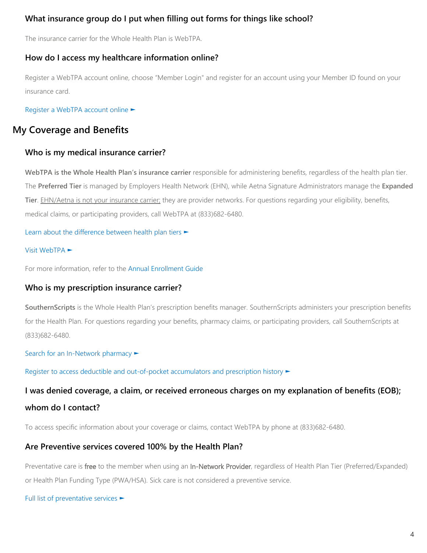## **What insurance group do I put when filling out forms for things like school?**

The insurance carrier for the Whole Health Plan is WebTPA.

## **How do I access my healthcare information online?**

Register a WebTPA account online, choose "Member Login" and register for an account using your Member ID found on your insurance card.

[Register a WebTPA](https://www.webtpa.com/) account online ►

## <span id="page-3-0"></span>**My Coverage and Benefits**

## **Who is my medical insurance carrier?**

**WebTPA is the Whole Health Plan's insurance carrier** responsible for administering benefits, regardless of the health plan tier. The **Preferred Tier** is managed by Employers Health Network (EHN), while Aetna Signature Administrators manage the **Expanded Tier**. EHN/Aetna is not your insurance carrier; they are provider networks. For questions regarding your eligibility, benefits, medical claims, or participating providers, call WebTPA at (833)682-6480.

[Learn about the difference between health plan tiers ►](#page-2-0)

#### [Visit WebTPA ►](https://www.webtpa.com/)

For more information, refer to the [Annual Enrollment Guide](http://wfm.employershealthnetwork.com/wp-content/uploads/2020/12/WFM_2021-AE-Whole-Health-Plan-Guide_101920_FINAL_rev.pdf)

## **Who is my prescription insurance carrier?**

**SouthernScripts** is the Whole Health Plan's prescription benefits manager. SouthernScripts administers your prescription benefits for the Health Plan. For questions regarding your benefits, pharmacy claims, or participating providers, call SouthernScripts at (833)682-6480.

[Search for an In-Network pharmacy](https://www.rxclearinghouse.com/pharmacylocationlocator.aspx?BIN=015433) ►

[Register to access deductible and out-of-pocket accumulators and prescription history](https://members.rxclearinghouse.com/Register.aspx) ►

# **I was denied coverage, a claim, or received erroneous charges on my explanation of benefits (EOB); whom do I contact?**

To access specific information about your coverage or claims, contact WebTPA by phone at (833)682-6480.

## **Are Preventive services covered 100% by the Health Plan?**

Preventative care is free to the member when using an In-Network Provider, regardless of Health Plan Tier (Preferred/Expanded) or Health Plan Funding Type (PWA/HSA). Sick care is not considered a preventive service.

[Full list of prevent](https://www.hhs.gov/healthcare/about-the-aca/preventive-care/index.html)ative services ►